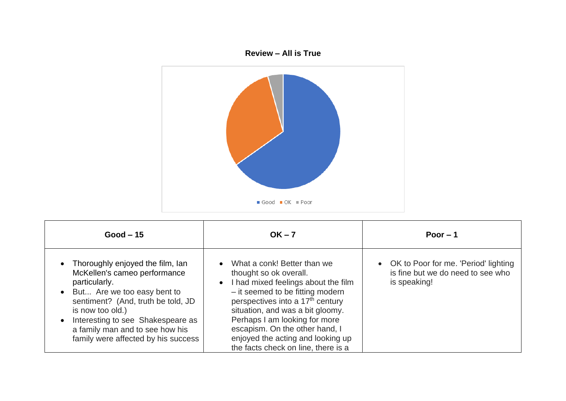



| $Good - 15$                                                                                                                                                                                                                                                                                   | $OK - 7$                                                                                                                                                                                                                                                                                                                                                                                      | Poor $-1$                                                                                   |
|-----------------------------------------------------------------------------------------------------------------------------------------------------------------------------------------------------------------------------------------------------------------------------------------------|-----------------------------------------------------------------------------------------------------------------------------------------------------------------------------------------------------------------------------------------------------------------------------------------------------------------------------------------------------------------------------------------------|---------------------------------------------------------------------------------------------|
| • Thoroughly enjoyed the film, Ian<br>McKellen's cameo performance<br>particularly.<br>• But Are we too easy bent to<br>sentiment? (And, truth be told, JD<br>is now too old.)<br>Interesting to see Shakespeare as<br>a family man and to see how his<br>family were affected by his success | What a conk! Better than we<br>$\bullet$<br>thought so ok overall.<br>I had mixed feelings about the film<br>$\bullet$<br>- it seemed to be fitting modern<br>perspectives into a 17 <sup>th</sup> century<br>situation, and was a bit gloomy.<br>Perhaps I am looking for more<br>escapism. On the other hand, I<br>enjoyed the acting and looking up<br>the facts check on line, there is a | • OK to Poor for me. 'Period' lighting<br>is fine but we do need to see who<br>is speaking! |